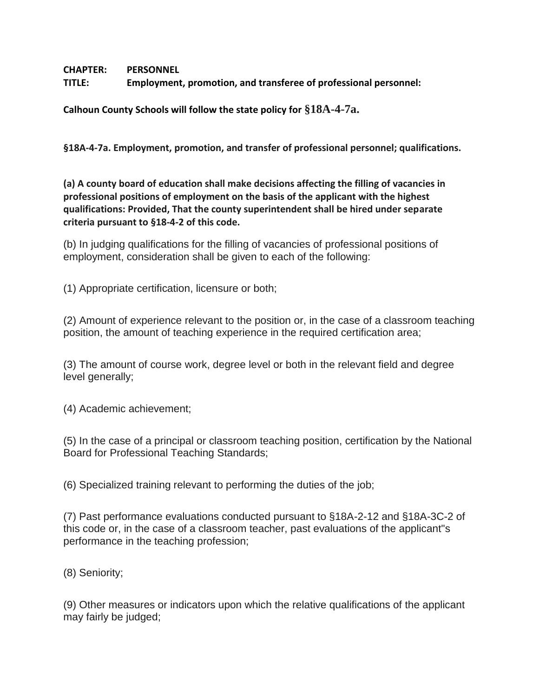**CHAPTER: PERSONNEL** 

**TITLE: Employment, promotion, and transferee of professional personnel:**

**Calhoun County Schools will follow the state policy for §18A-4-7a.**

**§18A-4-7a. Employment, promotion, and transfer of professional personnel; qualifications.**

**(a) A county board of education shall make decisions affecting the filling of vacancies in professional positions of employment on the basis of the applicant with the highest qualifications: Provided, That the county superintendent shall be hired under separate criteria pursuant to §18-4-2 of this code.**

(b) In judging qualifications for the filling of vacancies of professional positions of employment, consideration shall be given to each of the following:

(1) Appropriate certification, licensure or both;

(2) Amount of experience relevant to the position or, in the case of a classroom teaching position, the amount of teaching experience in the required certification area;

(3) The amount of course work, degree level or both in the relevant field and degree level generally;

(4) Academic achievement;

(5) In the case of a principal or classroom teaching position, certification by the National Board for Professional Teaching Standards;

(6) Specialized training relevant to performing the duties of the job;

(7) Past performance evaluations conducted pursuant to §18A-2-12 and §18A-3C-2 of this code or, in the case of a classroom teacher, past evaluations of the applicant"s performance in the teaching profession;

(8) Seniority;

(9) Other measures or indicators upon which the relative qualifications of the applicant may fairly be judged;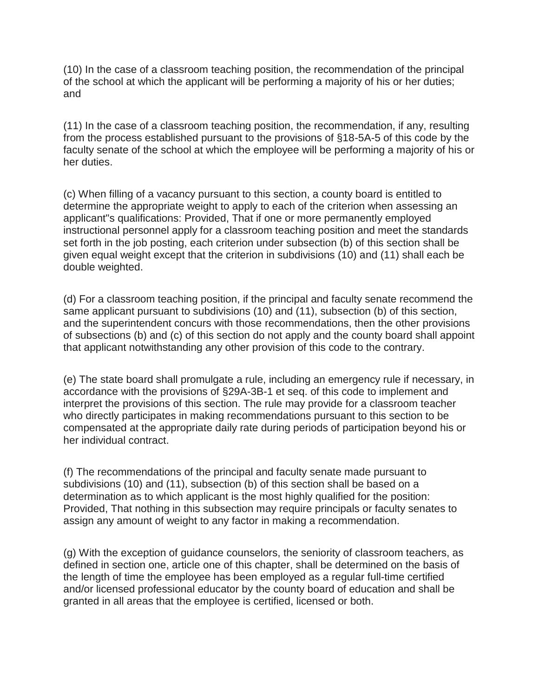(10) In the case of a classroom teaching position, the recommendation of the principal of the school at which the applicant will be performing a majority of his or her duties; and

(11) In the case of a classroom teaching position, the recommendation, if any, resulting from the process established pursuant to the provisions of §18-5A-5 of this code by the faculty senate of the school at which the employee will be performing a majority of his or her duties.

(c) When filling of a vacancy pursuant to this section, a county board is entitled to determine the appropriate weight to apply to each of the criterion when assessing an applicant"s qualifications: Provided, That if one or more permanently employed instructional personnel apply for a classroom teaching position and meet the standards set forth in the job posting, each criterion under subsection (b) of this section shall be given equal weight except that the criterion in subdivisions (10) and (11) shall each be double weighted.

(d) For a classroom teaching position, if the principal and faculty senate recommend the same applicant pursuant to subdivisions (10) and (11), subsection (b) of this section, and the superintendent concurs with those recommendations, then the other provisions of subsections (b) and (c) of this section do not apply and the county board shall appoint that applicant notwithstanding any other provision of this code to the contrary.

(e) The state board shall promulgate a rule, including an emergency rule if necessary, in accordance with the provisions of §29A-3B-1 et seq. of this code to implement and interpret the provisions of this section. The rule may provide for a classroom teacher who directly participates in making recommendations pursuant to this section to be compensated at the appropriate daily rate during periods of participation beyond his or her individual contract.

(f) The recommendations of the principal and faculty senate made pursuant to subdivisions (10) and (11), subsection (b) of this section shall be based on a determination as to which applicant is the most highly qualified for the position: Provided, That nothing in this subsection may require principals or faculty senates to assign any amount of weight to any factor in making a recommendation.

(g) With the exception of guidance counselors, the seniority of classroom teachers, as defined in section one, article one of this chapter, shall be determined on the basis of the length of time the employee has been employed as a regular full-time certified and/or licensed professional educator by the county board of education and shall be granted in all areas that the employee is certified, licensed or both.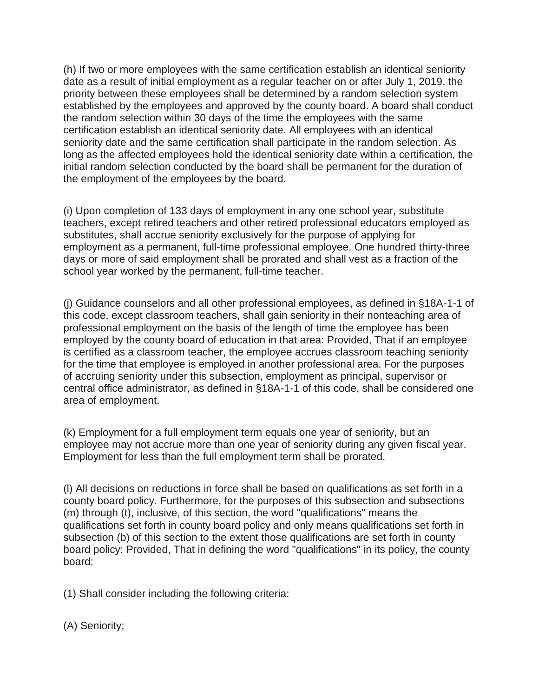(h) If two or more employees with the same certification establish an identical seniority date as a result of initial employment as a regular teacher on or after July 1, 2019, the priority between these employees shall be determined by a random selection system established by the employees and approved by the county board. A board shall conduct the random selection within 30 days of the time the employees with the same certification establish an identical seniority date. All employees with an identical seniority date and the same certification shall participate in the random selection. As long as the affected employees hold the identical seniority date within a certification, the initial random selection conducted by the board shall be permanent for the duration of the employment of the employees by the board.

(i) Upon completion of 133 days of employment in any one school year, substitute teachers, except retired teachers and other retired professional educators employed as substitutes, shall accrue seniority exclusively for the purpose of applying for employment as a permanent, full-time professional employee. One hundred thirty-three days or more of said employment shall be prorated and shall vest as a fraction of the school year worked by the permanent, full-time teacher.

(j) Guidance counselors and all other professional employees, as defined in §18A-1-1 of this code, except classroom teachers, shall gain seniority in their nonteaching area of professional employment on the basis of the length of time the employee has been employed by the county board of education in that area: Provided, That if an employee is certified as a classroom teacher, the employee accrues classroom teaching seniority for the time that employee is employed in another professional area. For the purposes of accruing seniority under this subsection, employment as principal, supervisor or central office administrator, as defined in §18A-1-1 of this code, shall be considered one area of employment.

(k) Employment for a full employment term equals one year of seniority, but an employee may not accrue more than one year of seniority during any given fiscal year. Employment for less than the full employment term shall be prorated.

(l) All decisions on reductions in force shall be based on qualifications as set forth in a county board policy. Furthermore, for the purposes of this subsection and subsections (m) through (t), inclusive, of this section, the word "qualifications" means the qualifications set forth in county board policy and only means qualifications set forth in subsection (b) of this section to the extent those qualifications are set forth in county board policy: Provided, That in defining the word "qualifications" in its policy, the county board:

(1) Shall consider including the following criteria:

(A) Seniority;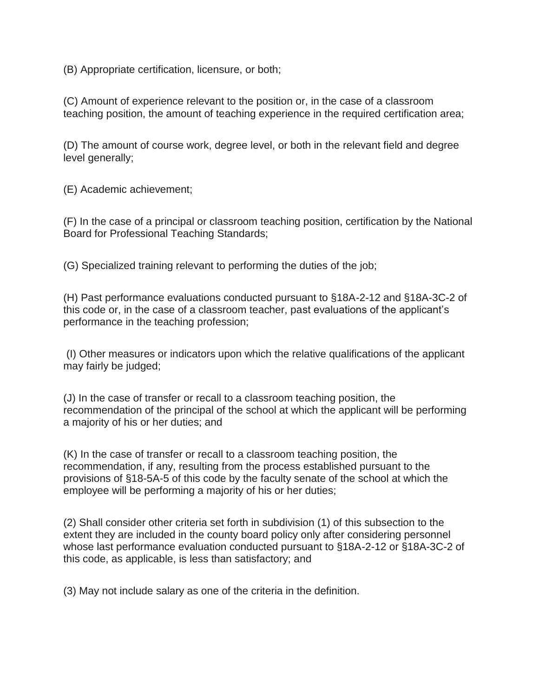(B) Appropriate certification, licensure, or both;

(C) Amount of experience relevant to the position or, in the case of a classroom teaching position, the amount of teaching experience in the required certification area;

(D) The amount of course work, degree level, or both in the relevant field and degree level generally;

(E) Academic achievement;

(F) In the case of a principal or classroom teaching position, certification by the National Board for Professional Teaching Standards;

(G) Specialized training relevant to performing the duties of the job;

(H) Past performance evaluations conducted pursuant to §18A-2-12 and §18A-3C-2 of this code or, in the case of a classroom teacher, past evaluations of the applicant's performance in the teaching profession;

(I) Other measures or indicators upon which the relative qualifications of the applicant may fairly be judged;

(J) In the case of transfer or recall to a classroom teaching position, the recommendation of the principal of the school at which the applicant will be performing a majority of his or her duties; and

(K) In the case of transfer or recall to a classroom teaching position, the recommendation, if any, resulting from the process established pursuant to the provisions of §18-5A-5 of this code by the faculty senate of the school at which the employee will be performing a majority of his or her duties;

(2) Shall consider other criteria set forth in subdivision (1) of this subsection to the extent they are included in the county board policy only after considering personnel whose last performance evaluation conducted pursuant to §18A-2-12 or §18A-3C-2 of this code, as applicable, is less than satisfactory; and

(3) May not include salary as one of the criteria in the definition.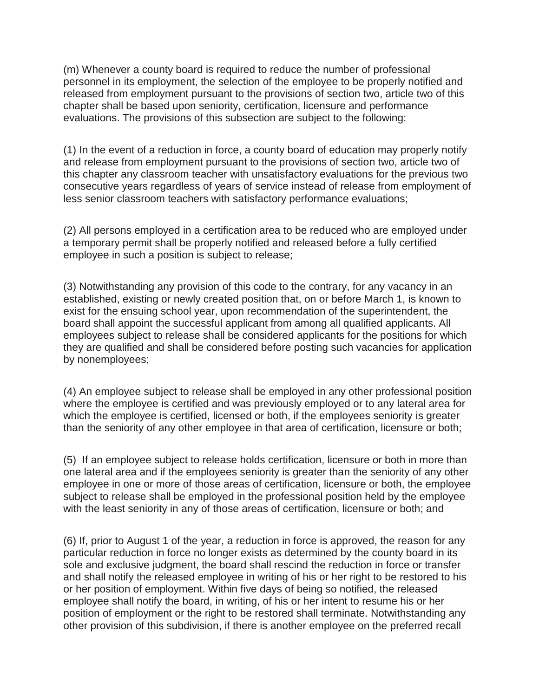(m) Whenever a county board is required to reduce the number of professional personnel in its employment, the selection of the employee to be properly notified and released from employment pursuant to the provisions of section two, article two of this chapter shall be based upon seniority, certification, licensure and performance evaluations. The provisions of this subsection are subject to the following:

(1) In the event of a reduction in force, a county board of education may properly notify and release from employment pursuant to the provisions of section two, article two of this chapter any classroom teacher with unsatisfactory evaluations for the previous two consecutive years regardless of years of service instead of release from employment of less senior classroom teachers with satisfactory performance evaluations;

(2) All persons employed in a certification area to be reduced who are employed under a temporary permit shall be properly notified and released before a fully certified employee in such a position is subject to release;

(3) Notwithstanding any provision of this code to the contrary, for any vacancy in an established, existing or newly created position that, on or before March 1, is known to exist for the ensuing school year, upon recommendation of the superintendent, the board shall appoint the successful applicant from among all qualified applicants. All employees subject to release shall be considered applicants for the positions for which they are qualified and shall be considered before posting such vacancies for application by nonemployees;

(4) An employee subject to release shall be employed in any other professional position where the employee is certified and was previously employed or to any lateral area for which the employee is certified, licensed or both, if the employees seniority is greater than the seniority of any other employee in that area of certification, licensure or both;

(5) If an employee subject to release holds certification, licensure or both in more than one lateral area and if the employees seniority is greater than the seniority of any other employee in one or more of those areas of certification, licensure or both, the employee subject to release shall be employed in the professional position held by the employee with the least seniority in any of those areas of certification, licensure or both; and

(6) If, prior to August 1 of the year, a reduction in force is approved, the reason for any particular reduction in force no longer exists as determined by the county board in its sole and exclusive judgment, the board shall rescind the reduction in force or transfer and shall notify the released employee in writing of his or her right to be restored to his or her position of employment. Within five days of being so notified, the released employee shall notify the board, in writing, of his or her intent to resume his or her position of employment or the right to be restored shall terminate. Notwithstanding any other provision of this subdivision, if there is another employee on the preferred recall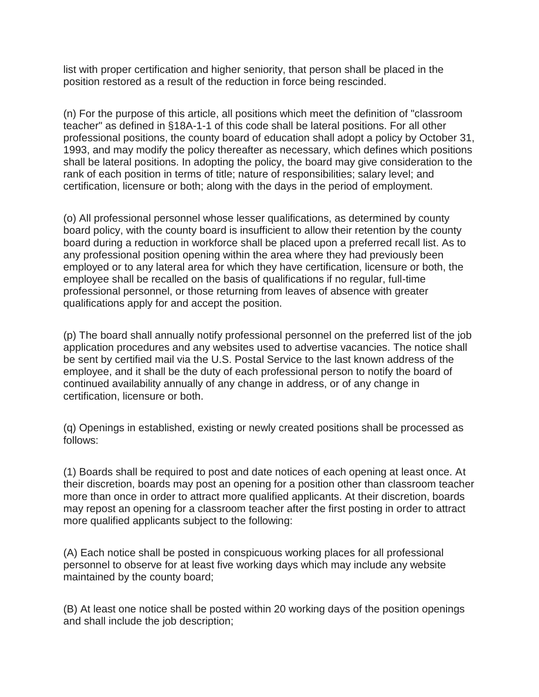list with proper certification and higher seniority, that person shall be placed in the position restored as a result of the reduction in force being rescinded.

(n) For the purpose of this article, all positions which meet the definition of "classroom teacher" as defined in §18A-1-1 of this code shall be lateral positions. For all other professional positions, the county board of education shall adopt a policy by October 31, 1993, and may modify the policy thereafter as necessary, which defines which positions shall be lateral positions. In adopting the policy, the board may give consideration to the rank of each position in terms of title; nature of responsibilities; salary level; and certification, licensure or both; along with the days in the period of employment.

(o) All professional personnel whose lesser qualifications, as determined by county board policy, with the county board is insufficient to allow their retention by the county board during a reduction in workforce shall be placed upon a preferred recall list. As to any professional position opening within the area where they had previously been employed or to any lateral area for which they have certification, licensure or both, the employee shall be recalled on the basis of qualifications if no regular, full-time professional personnel, or those returning from leaves of absence with greater qualifications apply for and accept the position.

(p) The board shall annually notify professional personnel on the preferred list of the job application procedures and any websites used to advertise vacancies. The notice shall be sent by certified mail via the U.S. Postal Service to the last known address of the employee, and it shall be the duty of each professional person to notify the board of continued availability annually of any change in address, or of any change in certification, licensure or both.

(q) Openings in established, existing or newly created positions shall be processed as follows:

(1) Boards shall be required to post and date notices of each opening at least once. At their discretion, boards may post an opening for a position other than classroom teacher more than once in order to attract more qualified applicants. At their discretion, boards may repost an opening for a classroom teacher after the first posting in order to attract more qualified applicants subject to the following:

(A) Each notice shall be posted in conspicuous working places for all professional personnel to observe for at least five working days which may include any website maintained by the county board;

(B) At least one notice shall be posted within 20 working days of the position openings and shall include the job description;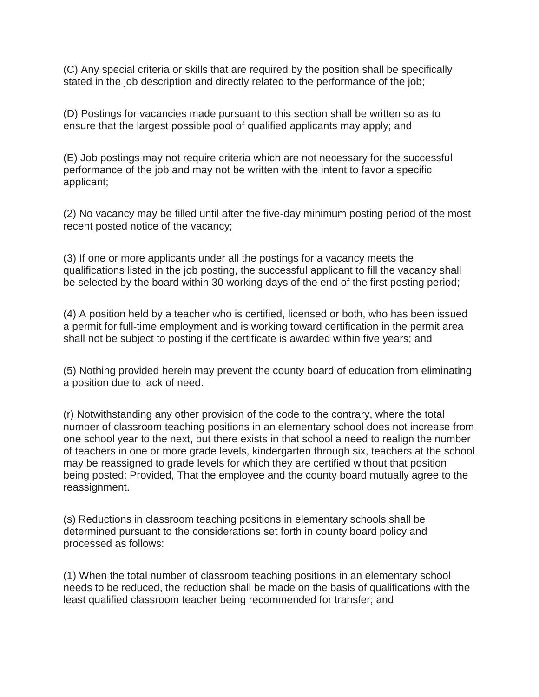(C) Any special criteria or skills that are required by the position shall be specifically stated in the job description and directly related to the performance of the job;

(D) Postings for vacancies made pursuant to this section shall be written so as to ensure that the largest possible pool of qualified applicants may apply; and

(E) Job postings may not require criteria which are not necessary for the successful performance of the job and may not be written with the intent to favor a specific applicant;

(2) No vacancy may be filled until after the five-day minimum posting period of the most recent posted notice of the vacancy;

(3) If one or more applicants under all the postings for a vacancy meets the qualifications listed in the job posting, the successful applicant to fill the vacancy shall be selected by the board within 30 working days of the end of the first posting period;

(4) A position held by a teacher who is certified, licensed or both, who has been issued a permit for full-time employment and is working toward certification in the permit area shall not be subject to posting if the certificate is awarded within five years; and

(5) Nothing provided herein may prevent the county board of education from eliminating a position due to lack of need.

(r) Notwithstanding any other provision of the code to the contrary, where the total number of classroom teaching positions in an elementary school does not increase from one school year to the next, but there exists in that school a need to realign the number of teachers in one or more grade levels, kindergarten through six, teachers at the school may be reassigned to grade levels for which they are certified without that position being posted: Provided, That the employee and the county board mutually agree to the reassignment.

(s) Reductions in classroom teaching positions in elementary schools shall be determined pursuant to the considerations set forth in county board policy and processed as follows:

(1) When the total number of classroom teaching positions in an elementary school needs to be reduced, the reduction shall be made on the basis of qualifications with the least qualified classroom teacher being recommended for transfer; and